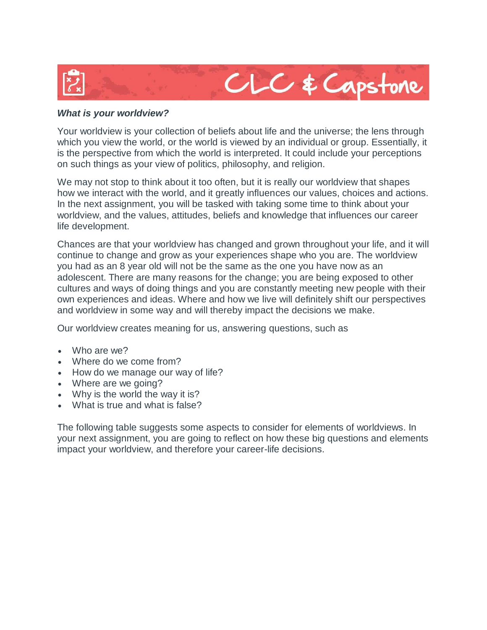

## *What is your worldview?*

Your worldview is your collection of beliefs about life and the universe; the lens through which you view the world, or the world is viewed by an individual or group. Essentially, it is the perspective from which the world is interpreted. It could include your perceptions on such things as your view of politics, philosophy, and religion.

We may not stop to think about it too often, but it is really our worldview that shapes how we interact with the world, and it greatly influences our values, choices and actions. In the next assignment, you will be tasked with taking some time to think about your worldview, and the values, attitudes, beliefs and knowledge that influences our career life development.

Chances are that your worldview has changed and grown throughout your life, and it will continue to change and grow as your experiences shape who you are. The worldview you had as an 8 year old will not be the same as the one you have now as an adolescent. There are many reasons for the change; you are being exposed to other cultures and ways of doing things and you are constantly meeting new people with their own experiences and ideas. Where and how we live will definitely shift our perspectives and worldview in some way and will thereby impact the decisions we make.

Our worldview creates meaning for us, answering questions, such as

- Who are we?
- Where do we come from?
- How do we manage our way of life?
- Where are we going?
- Why is the world the way it is?
- What is true and what is false?

The following table suggests some aspects to consider for elements of worldviews. In your next assignment, you are going to reflect on how these big questions and elements impact your worldview, and therefore your career-life decisions.